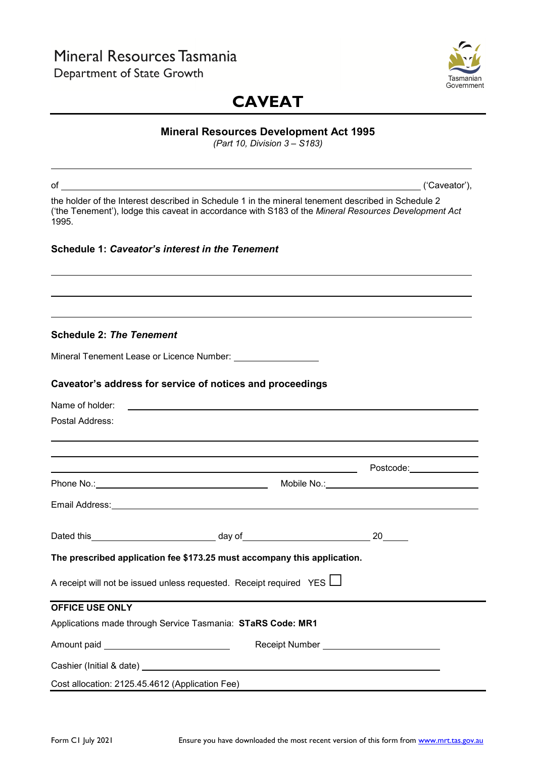## Mineral Resources Tasmania Department of State Growth



# **CAVEAT**

## **Mineral Resources Development Act 1995**

*(Part 10, Division 3 – S183)*

|                                                 | of $\qquad \qquad$ $\qquad$ $\qquad$ $\qquad$ $\qquad$ $\qquad$ $\qquad$ $\qquad$ $\qquad$ $\qquad$ $\qquad$ $\qquad$ $\qquad$ $\qquad$ $\qquad$ $\qquad$ $\qquad$ $\qquad$ $\qquad$ $\qquad$ $\qquad$ $\qquad$ $\qquad$ $\qquad$ $\qquad$ $\qquad$ $\qquad$ $\qquad$ $\qquad$ $\qquad$ $\qquad$ $\qquad$ $\qquad$ $\qquad$ $\qquad$ $\qquad$ | ('Caveator'), |
|-------------------------------------------------|-----------------------------------------------------------------------------------------------------------------------------------------------------------------------------------------------------------------------------------------------------------------------------------------------------------------------------------------------|---------------|
| 1995.                                           | the holder of the Interest described in Schedule 1 in the mineral tenement described in Schedule 2<br>('the Tenement'), lodge this caveat in accordance with S183 of the Mineral Resources Development Act                                                                                                                                    |               |
|                                                 | Schedule 1: Caveator's interest in the Tenement                                                                                                                                                                                                                                                                                               |               |
|                                                 |                                                                                                                                                                                                                                                                                                                                               |               |
|                                                 |                                                                                                                                                                                                                                                                                                                                               |               |
| <b>Schedule 2: The Tenement</b>                 |                                                                                                                                                                                                                                                                                                                                               |               |
|                                                 |                                                                                                                                                                                                                                                                                                                                               |               |
|                                                 | Caveator's address for service of notices and proceedings                                                                                                                                                                                                                                                                                     |               |
| Name of holder:                                 | <u> 1989 - Andrea Santa Andrea Andrea Santa Andrea Andrea Andrea Andrea Andrea Andrea Andrea Andrea Andrea Andre</u>                                                                                                                                                                                                                          |               |
| Postal Address:                                 |                                                                                                                                                                                                                                                                                                                                               |               |
|                                                 |                                                                                                                                                                                                                                                                                                                                               |               |
|                                                 |                                                                                                                                                                                                                                                                                                                                               |               |
|                                                 |                                                                                                                                                                                                                                                                                                                                               |               |
|                                                 |                                                                                                                                                                                                                                                                                                                                               |               |
|                                                 |                                                                                                                                                                                                                                                                                                                                               |               |
|                                                 |                                                                                                                                                                                                                                                                                                                                               |               |
|                                                 | The prescribed application fee \$173.25 must accompany this application.                                                                                                                                                                                                                                                                      |               |
|                                                 | A receipt will not be issued unless requested. Receipt required YES L                                                                                                                                                                                                                                                                         |               |
| <b>OFFICE USE ONLY</b>                          |                                                                                                                                                                                                                                                                                                                                               |               |
|                                                 | Applications made through Service Tasmania: STaRS Code: MR1                                                                                                                                                                                                                                                                                   |               |
| Amount paid <b>Amount</b> paid                  |                                                                                                                                                                                                                                                                                                                                               |               |
|                                                 |                                                                                                                                                                                                                                                                                                                                               |               |
| Cost allocation: 2125.45.4612 (Application Fee) |                                                                                                                                                                                                                                                                                                                                               |               |